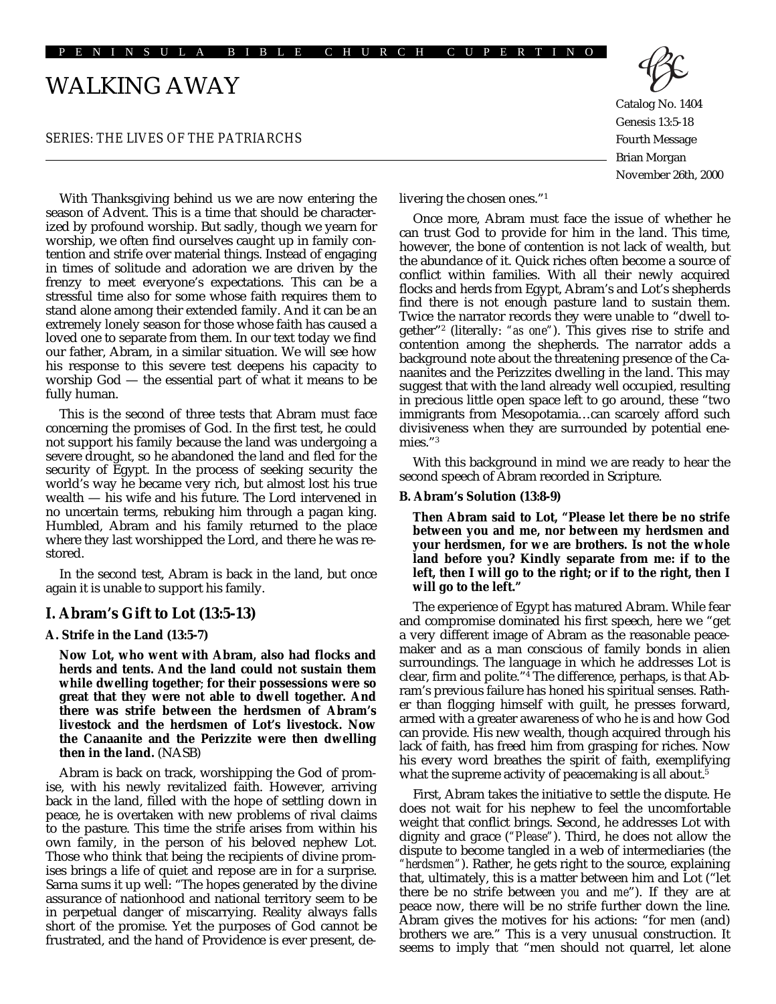# WALKING AWAY

### *SERIES: THE LIVES OF THE PATRIARCHS*

With Thanksgiving behind us we are now entering the season of Advent. This is a time that should be characterized by profound worship. But sadly, though we yearn for worship, we often find ourselves caught up in family contention and strife over material things. Instead of engaging in times of solitude and adoration we are driven by the frenzy to meet everyone's expectations. This can be a stressful time also for some whose faith requires them to stand alone among their extended family. And it can be an extremely lonely season for those whose faith has caused a loved one to separate from them. In our text today we find our father, Abram, in a similar situation. We will see how his response to this severe test deepens his capacity to worship God — the essential part of what it means to be fully human.

This is the second of three tests that Abram must face concerning the promises of God. In the first test, he could not support his family because the land was undergoing a severe drought, so he abandoned the land and fled for the security of Egypt. In the process of seeking security the world's way he became very rich, but almost lost his true wealth — his wife and his future. The Lord intervened in no uncertain terms, rebuking him through a pagan king. Humbled, Abram and his family returned to the place where they last worshipped the Lord, and there he was restored.

In the second test, Abram is back in the land, but once again it is unable to support his family.

## **I. Abram's Gift to Lot (13:5-13)**

**A. Strife in the Land (13:5-7)**

**Now Lot, who went with Abram, also had flocks and herds and tents. And the land could not sustain them while dwelling together**; **for their possessions were so great that they were not able to dwell together. And there was strife between the herdsmen of Abram's livestock and the herdsmen of Lot's livestock. Now the Canaanite and the Perizzite were then dwelling then in the land.** (NASB)

Abram is back on track, worshipping the God of promise, with his newly revitalized faith. However, arriving back in the land, filled with the hope of settling down in peace, he is overtaken with new problems of rival claims to the pasture. This time the strife arises from within his own family, in the person of his beloved nephew Lot. Those who think that being the recipients of divine promises brings a life of quiet and repose are in for a surprise. Sarna sums it up well: "The hopes generated by the divine assurance of nationhood and national territory seem to be in perpetual danger of miscarrying. Reality always falls short of the promise. Yet the purposes of God cannot be frustrated, and the hand of Providence is ever present, deCatalog No. 1404 Genesis 13:5-18 Fourth Message Brian Morgan

November 26th, 2000

livering the chosen ones."1

Once more, Abram must face the issue of whether he can trust God to provide for him in the land. This time, however, the bone of contention is not lack of wealth, but the abundance of it. Quick riches often become a source of conflict within families. With all their newly acquired flocks and herds from Egypt, Abram's and Lot's shepherds find there is not enough pasture land to sustain them. Twice the narrator records they were unable to "dwell together"2 (literally: *"as one"*). This gives rise to strife and contention among the shepherds. The narrator adds a background note about the threatening presence of the Canaanites and the Perizzites dwelling in the land. This may suggest that with the land already well occupied, resulting in precious little open space left to go around, these "two immigrants from Mesopotamia…can scarcely afford such divisiveness when they are surrounded by potential enemies."3

With this background in mind we are ready to hear the second speech of Abram recorded in Scripture.

#### **B. Abram's Solution (13:8-9)**

**Then Abram said to Lot, "Please let there be no strife between you and me, nor between my herdsmen and your herdsmen, for we are brothers. Is not the whole land before you? Kindly separate from me: if to the left, then I will go to the right; or if to the right, then I will go to the left."**

The experience of Egypt has matured Abram. While fear and compromise dominated his first speech, here we "get a very different image of Abram as the reasonable peacemaker and as a man conscious of family bonds in alien surroundings. The language in which he addresses Lot is clear, firm and polite."4 The difference, perhaps, is that Abram's previous failure has honed his spiritual senses. Rather than flogging himself with guilt, he presses forward, armed with a greater awareness of who he is and how God can provide. His new wealth, though acquired through his lack of faith, has freed him from grasping for riches. Now his every word breathes the spirit of faith, exemplifying what the supreme activity of peacemaking is all about.<sup>5</sup>

First, Abram takes the initiative to settle the dispute. He does not wait for his nephew to feel the uncomfortable weight that conflict brings. Second, he addresses Lot with dignity and grace (*"Please"*). Third, he does not allow the dispute to become tangled in a web of intermediaries (the *"herdsmen"*). Rather, he gets right to the source, explaining that, ultimately, this is a matter between him and Lot ("let there be no strife between *you* and *me*"). If they are at peace now, there will be no strife further down the line. Abram gives the motives for his actions: "for men (and) brothers we are." This is a very unusual construction. It seems to imply that "men should not quarrel, let alone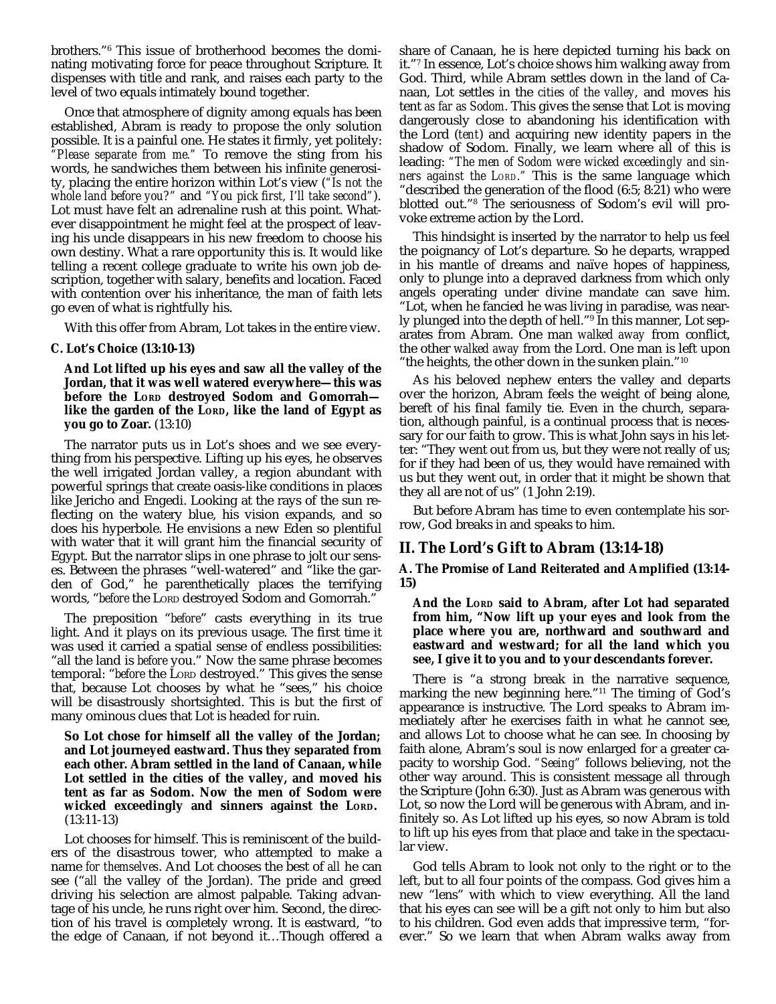brothers."6 This issue of brotherhood becomes the dominating motivating force for peace throughout Scripture. It dispenses with title and rank, and raises each party to the level of two equals intimately bound together.

Once that atmosphere of dignity among equals has been established, Abram is ready to propose the only solution possible. It is a painful one. He states it firmly, yet politely: *"Please separate from me."* To remove the sting from his words, he sandwiches them between his infinite generosity, placing the entire horizon within Lot's view (*"Is not the whole land before you?"* and *"You pick first, I'll take second"*). Lot must have felt an adrenaline rush at this point. Whatever disappointment he might feel at the prospect of leaving his uncle disappears in his new freedom to choose his own destiny. What a rare opportunity this is. It would like telling a recent college graduate to write his own job description, together with salary, benefits and location. Faced with contention over his inheritance, the man of faith lets go even of what is rightfully his.

With this offer from Abram, Lot takes in the entire view.

### **C. Lot's Choice (13:10-13)**

**And Lot lifted up his eyes and saw all the valley of the Jordan, that it was well watered everywhere—this was before the LORD destroyed Sodom and Gomorrah like the garden of the LORD, like the land of Egypt as you go to Zoar.** (13:10)

The narrator puts us in Lot's shoes and we see everything from his perspective. Lifting up his eyes, he observes the well irrigated Jordan valley, a region abundant with powerful springs that create oasis-like conditions in places like Jericho and Engedi. Looking at the rays of the sun reflecting on the watery blue, his vision expands, and so does his hyperbole. He envisions a new Eden so plentiful with water that it will grant him the financial security of Egypt. But the narrator slips in one phrase to jolt our senses. Between the phrases "well-watered" and "like the garden of God," he parenthetically places the terrifying words, "*before* the LORD destroyed Sodom and Gomorrah."

The preposition "*before*" casts everything in its true light. And it plays on its previous usage. The first time it was used it carried a spatial sense of endless possibilities: "all the land is *before* you." Now the same phrase becomes temporal: "*before* the LORD destroyed." This gives the sense that, because Lot chooses by what he "sees," his choice will be disastrously shortsighted. This is but the first of many ominous clues that Lot is headed for ruin.

**So Lot chose for himself all the valley of the Jordan; and Lot journeyed eastward. Thus they separated from each other. Abram settled in the land of Canaan, while Lot settled in the cities of the valley, and moved his tent as far as Sodom. Now the men of Sodom were wicked exceedingly and sinners against the LORD.** (13:11-13)

Lot chooses for himself. This is reminiscent of the builders of the disastrous tower, who attempted to make a name *for themselves*. And Lot chooses the best of *all* he can see ("*all* the valley of the Jordan). The pride and greed driving his selection are almost palpable. Taking advantage of his uncle, he runs right over him. Second, the direction of his travel is completely wrong. It is eastward, "to the edge of Canaan, if not beyond it…Though offered a share of Canaan, he is here depicted turning his back on it."7 In essence, Lot's choice shows him walking away from God. Third, while Abram settles down in the land of Canaan, Lot settles in the *cities of the valley*, and moves his tent *as far as Sodom*. This gives the sense that Lot is moving dangerously close to abandoning his identification with the Lord (*tent*) and acquiring new identity papers in the shadow of Sodom. Finally, we learn where all of this is leading: *"The men of Sodom were wicked exceedingly and sinners against the LORD."* This is the same language which "described the generation of the flood (6:5; 8:21) who were blotted out."8 The seriousness of Sodom's evil will provoke extreme action by the Lord.

This hindsight is inserted by the narrator to help us feel the poignancy of Lot's departure. So he departs, wrapped in his mantle of dreams and naïve hopes of happiness, only to plunge into a depraved darkness from which only angels operating under divine mandate can save him. "Lot, when he fancied he was living in paradise, was nearly plunged into the depth of hell."9 In this manner, Lot separates from Abram. One man *walked away* from conflict, the other *walked away* from the Lord. One man is left upon "the heights, the other down in the sunken plain."10

As his beloved nephew enters the valley and departs over the horizon, Abram feels the weight of being alone, bereft of his final family tie. Even in the church, separation, although painful, is a continual process that is necessary for our faith to grow. This is what John says in his letter: "They went out from us, but they were not really of us; for if they had been of us, they would have remained with us but they went out, in order that it might be shown that they all are not of us" *(*1 John 2:19).

But before Abram has time to even contemplate his sorrow, God breaks in and speaks to him.

# **II. The Lord's Gift to Abram (13:14-18)**

**A. The Promise of Land Reiterated and Amplified (13:14- 15)**

**And the LORD said to Abram, after Lot had separated from him, "Now lift up your eyes and look from the place where you are, northward and southward and eastward and westward; for all the land which you see, I give it to you and to your descendants forever.**

There is "a strong break in the narrative sequence, marking the new beginning here."11 The timing of God's appearance is instructive. The Lord speaks to Abram immediately after he exercises faith in what he cannot see, and allows Lot to choose what he can see. In choosing by faith alone, Abram's soul is now enlarged for a greater capacity to worship God. *"Seeing"* follows believing, not the other way around. This is consistent message all through the Scripture (John 6:30). Just as Abram was generous with Lot, so now the Lord will be generous with Abram, and infinitely so. As Lot lifted up his eyes, so now Abram is told to lift up his eyes from that place and take in the spectacular view.

God tells Abram to look not only to the right or to the left, but to all four points of the compass. God gives him a new "lens" with which to view everything. All the land that his eyes can see will be a gift not only to him but also to his children. God even adds that impressive term, "forever." So we learn that when Abram walks away from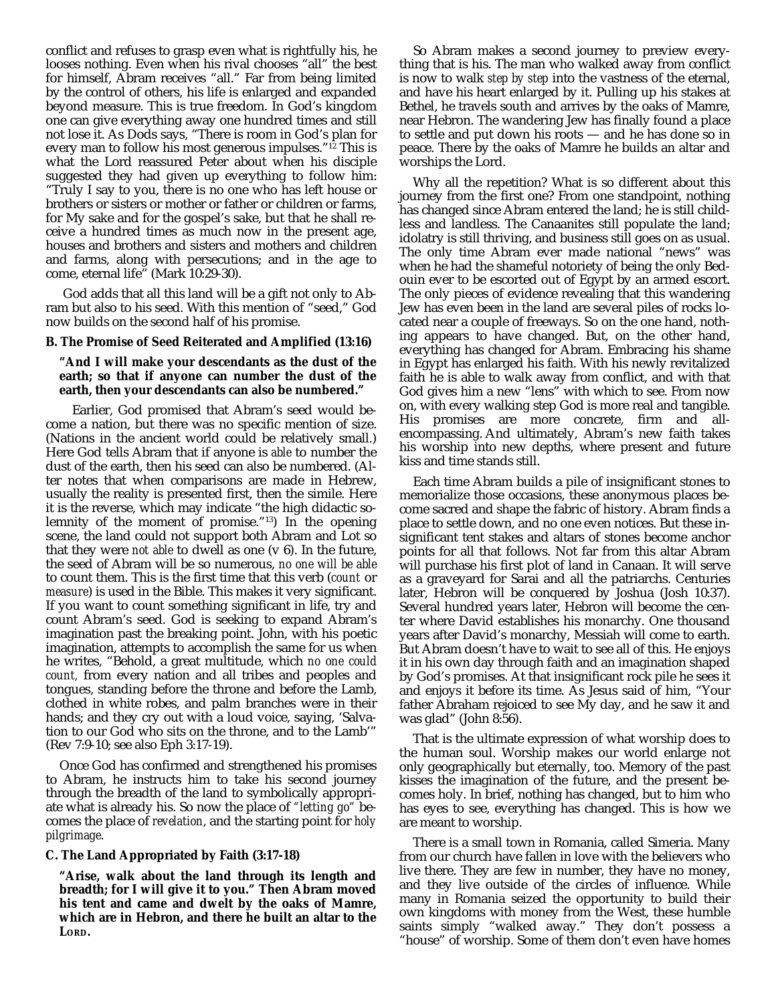conflict and refuses to grasp even what is rightfully his, he looses nothing. Even when his rival chooses "all" the best for himself, Abram receives "all." Far from being limited by the control of others, his life is enlarged and expanded beyond measure. This is true freedom. In God's kingdom one can give everything away one hundred times and still not lose it. As Dods says, "There is room in God's plan for every man to follow his most generous impulses."<sup>12</sup> This is what the Lord reassured Peter about when his disciple suggested they had given up everything to follow him: "Truly I say to you, there is no one who has left house or brothers or sisters or mother or father or children or farms, for My sake and for the gospel's sake, but that he shall receive a hundred times as much now in the present age, houses and brothers and sisters and mothers and children and farms, along with persecutions; and in the age to come, eternal life" (Mark 10:29-30).

 God adds that all this land will be a gift not only to Abram but also to his seed. With this mention of "seed," God now builds on the second half of his promise.

### **B. The Promise of Seed Reiterated and Amplified (13:16)**

### **"And I will make your descendants as the dust of the earth; so that if anyone can number the dust of the earth, then your descendants can also be numbered."**

Earlier, God promised that Abram's seed would become a nation, but there was no specific mention of size. (Nations in the ancient world could be relatively small.) Here God tells Abram that if anyone is *able* to number the dust of the earth, then his seed can also be numbered. (Alter notes that when comparisons are made in Hebrew, usually the reality is presented first, then the simile. Here it is the reverse, which may indicate "the high didactic solemnity of the moment of promise."13) In the opening scene, the land could not support both Abram and Lot so that they were *not able* to dwell as one (v 6). In the future, the seed of Abram will be so numerous, *no one will be able* to count them. This is the first time that this verb (*count* or *measure*) is used in the Bible. This makes it very significant. If you want to count something significant in life, try and count Abram's seed. God is seeking to expand Abram's imagination past the breaking point. John, with his poetic imagination, attempts to accomplish the same for us when he writes, "Behold, a great multitude, which *no one could count,* from every nation and all tribes and peoples and tongues, standing before the throne and before the Lamb, clothed in white robes, and palm branches were in their hands; and they cry out with a loud voice, saying, 'Salvation to our God who sits on the throne, and to the Lamb'" (Rev 7:9-10; see also Eph 3:17-19).

Once God has confirmed and strengthened his promises to Abram, he instructs him to take his second journey through the breadth of the land to symbolically appropriate what is already his. So now the place of *"letting go"* becomes the place of *revelation*, and the starting point for *holy pilgrimage*.

### **C. The Land Appropriated by Faith (3:17-18)**

**"Arise, walk about the land through its length and breadth; for I will give it to you." Then Abram moved his tent and came and dwelt by the oaks of Mamre, which are in Hebron, and there he built an altar to the LORD.**

So Abram makes a second journey to preview everything that is his. The man who walked away from conflict is now to walk *step by step* into the vastness of the eternal, and have his heart enlarged by it. Pulling up his stakes at Bethel, he travels south and arrives by the oaks of Mamre, near Hebron. The wandering Jew has finally found a place to settle and put down his roots — and he has done so in peace. There by the oaks of Mamre he builds an altar and worships the Lord.

Why all the repetition? What is so different about this journey from the first one? From one standpoint, nothing has changed since Abram entered the land; he is still childless and landless. The Canaanites still populate the land; idolatry is still thriving, and business still goes on as usual. The only time Abram ever made national "news" was when he had the shameful notoriety of being the only Bedouin ever to be escorted out of Egypt by an armed escort. The only pieces of evidence revealing that this wandering Jew has even been in the land are several piles of rocks located near a couple of freeways. So on the one hand, nothing appears to have changed. But, on the other hand, everything has changed for Abram. Embracing his shame in Egypt has enlarged his faith. With his newly revitalized faith he is able to walk away from conflict, and with that God gives him a new "lens" with which to see. From now on, with every walking step God is more real and tangible. His promises are more concrete, firm and allencompassing. And ultimately, Abram's new faith takes his worship into new depths, where present and future kiss and time stands still.

Each time Abram builds a pile of insignificant stones to memorialize those occasions, these anonymous places become sacred and shape the fabric of history. Abram finds a place to settle down, and no one even notices. But these insignificant tent stakes and altars of stones become anchor points for all that follows. Not far from this altar Abram will purchase his first plot of land in Canaan. It will serve as a graveyard for Sarai and all the patriarchs. Centuries later, Hebron will be conquered by Joshua (Josh 10:37). Several hundred years later, Hebron will become the center where David establishes his monarchy. One thousand years after David's monarchy, Messiah will come to earth. But Abram doesn't have to wait to see all of this. He enjoys it in his own day through faith and an imagination shaped by God's promises. At that insignificant rock pile he sees it and enjoys it before its time. As Jesus said of him, "Your father Abraham rejoiced to see My day, and he saw it and was glad" (John 8:56).

That is the ultimate expression of what worship does to the human soul. Worship makes our world enlarge not only geographically but eternally, too. Memory of the past kisses the imagination of the future, and the present becomes holy. In brief, nothing has changed, but to him who has eyes to see, everything has changed. This is how we are meant to worship.

There is a small town in Romania, called Simeria. Many from our church have fallen in love with the believers who live there. They are few in number, they have no money, and they live outside of the circles of influence. While many in Romania seized the opportunity to build their own kingdoms with money from the West, these humble saints simply "walked away." They don't possess a "house" of worship. Some of them don't even have homes